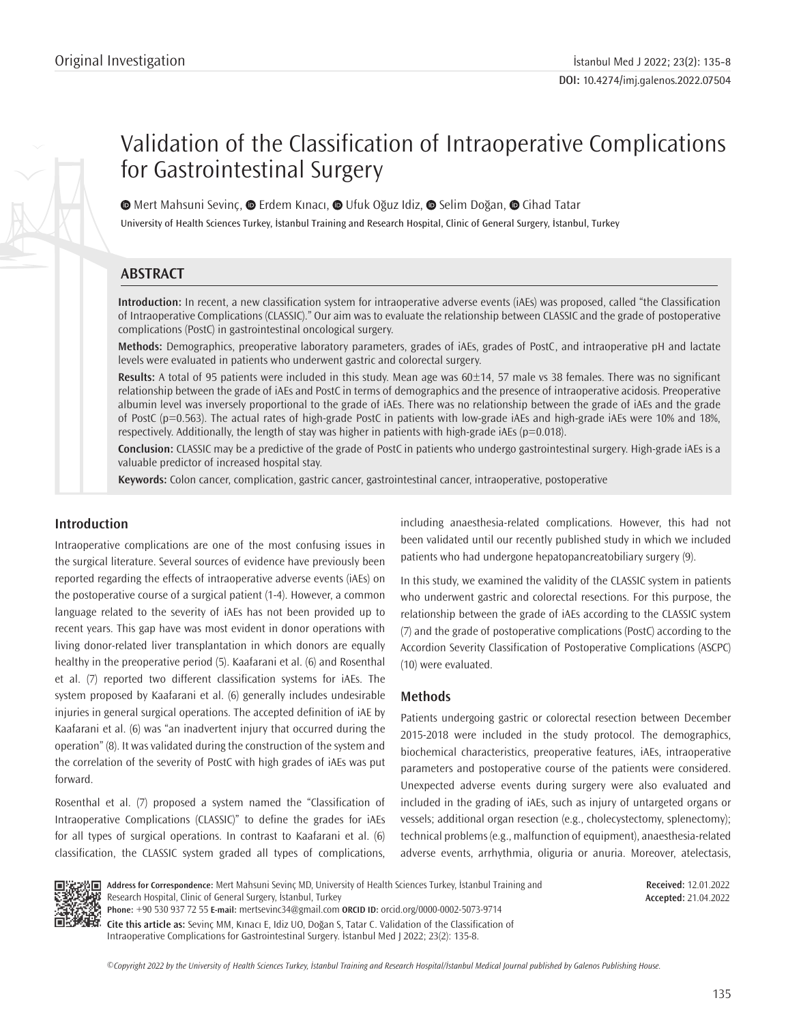# Validation of the Classification of Intraoperative Complications for Gastrointestinal Surgery

**MertMahsuni Sevinç, @ Erdem Kınacı, @ Ufuk Oğuz Idiz, @ Selim Doğan, @ Cihad Tatar** 

University of Health Sciences Turkey, İstanbul Training and Research Hospital, Clinic of General Surgery, İstanbul, Turkey

# **ABSTRACT**

**Introduction:** In recent, a new classification system for intraoperative adverse events (iAEs) was proposed, called "the Classification of Intraoperative Complications (CLASSIC)." Our aim was to evaluate the relationship between CLASSIC and the grade of postoperative complications (PostC) in gastrointestinal oncological surgery.

**Methods:** Demographics, preoperative laboratory parameters, grades of iAEs, grades of PostC, and intraoperative pH and lactate levels were evaluated in patients who underwent gastric and colorectal surgery.

**Results:** A total of 95 patients were included in this study. Mean age was 60±14, 57 male vs 38 females. There was no significant relationship between the grade of iAEs and PostC in terms of demographics and the presence of intraoperative acidosis. Preoperative albumin level was inversely proportional to the grade of iAEs. There was no relationship between the grade of iAEs and the grade of PostC (p=0.563). The actual rates of high-grade PostC in patients with low-grade iAEs and high-grade iAEs were 10% and 18%, respectively. Additionally, the length of stay was higher in patients with high-grade iAEs ( $p=0.018$ ).

**Conclusion:** CLASSIC may be a predictive of the grade of PostC in patients who undergo gastrointestinal surgery. High-grade iAEs is a valuable predictor of increased hospital stay.

**Keywords:** Colon cancer, complication, gastric cancer, gastrointestinal cancer, intraoperative, postoperative

## **Introduction**

Intraoperative complications are one of the most confusing issues in the surgical literature. Several sources of evidence have previously been reported regarding the effects of intraoperative adverse events (iAEs) on the postoperative course of a surgical patient (1-4). However, a common language related to the severity of iAEs has not been provided up to recent years. This gap have was most evident in donor operations with living donor-related liver transplantation in which donors are equally healthy in the preoperative period (5). Kaafarani et al. (6) and Rosenthal et al. (7) reported two different classification systems for iAEs. The system proposed by Kaafarani et al. (6) generally includes undesirable injuries in general surgical operations. The accepted definition of iAE by Kaafarani et al. (6) was "an inadvertent injury that occurred during the operation" (8). It was validated during the construction of the system and the correlation of the severity of PostC with high grades of iAEs was put forward.

Rosenthal et al. (7) proposed a system named the "Classification of Intraoperative Complications (CLASSIC)" to define the grades for iAEs for all types of surgical operations. In contrast to Kaafarani et al. (6) classification, the CLASSIC system graded all types of complications, including anaesthesia-related complications. However, this had not been validated until our recently published study in which we included patients who had undergone hepatopancreatobiliary surgery (9).

In this study, we examined the validity of the CLASSIC system in patients who underwent gastric and colorectal resections. For this purpose, the relationship between the grade of iAEs according to the CLASSIC system (7) and the grade of postoperative complications (PostC) according to the Accordion Severity Classification of Postoperative Complications (ASCPC) (10) were evaluated.

### **Methods**

Patients undergoing gastric or colorectal resection between December 2015-2018 were included in the study protocol. The demographics, biochemical characteristics, preoperative features, iAEs, intraoperative parameters and postoperative course of the patients were considered. Unexpected adverse events during surgery were also evaluated and included in the grading of iAEs, such as injury of untargeted organs or vessels; additional organ resection (e.g., cholecystectomy, splenectomy); technical problems (e.g., malfunction of equipment), anaesthesia-related adverse events, arrhythmia, oliguria or anuria. Moreover, atelectasis,



**Address for Correspondence:** Mert Mahsuni Sevinç MD, University of Health Sciences Turkey, İstanbul Training and Research Hospital, Clinic of General Surgery, İstanbul, Turkey **Phone:** +90 530 937 72 55 **E-mail:** mertsevinc34@gmail.com **ORCID ID:** orcid.org/0000-0002-5073-9714

**Cite this article as:** Sevinç MM, Kınacı E, Idiz UO, Doğan S, Tatar C. Validation of the Classification of Intraoperative Complications for Gastrointestinal Surgery. İstanbul Med J 2022; 23(2): 135-8.

**Received:** 12.01.2022 **Accepted:** 21.04.2022

*©*Copyright 2022 by the University of Health Sciences Turkey, İstanbul Training and Research Hospital/İstanbul Medical Journal published by Galenos Publishing House.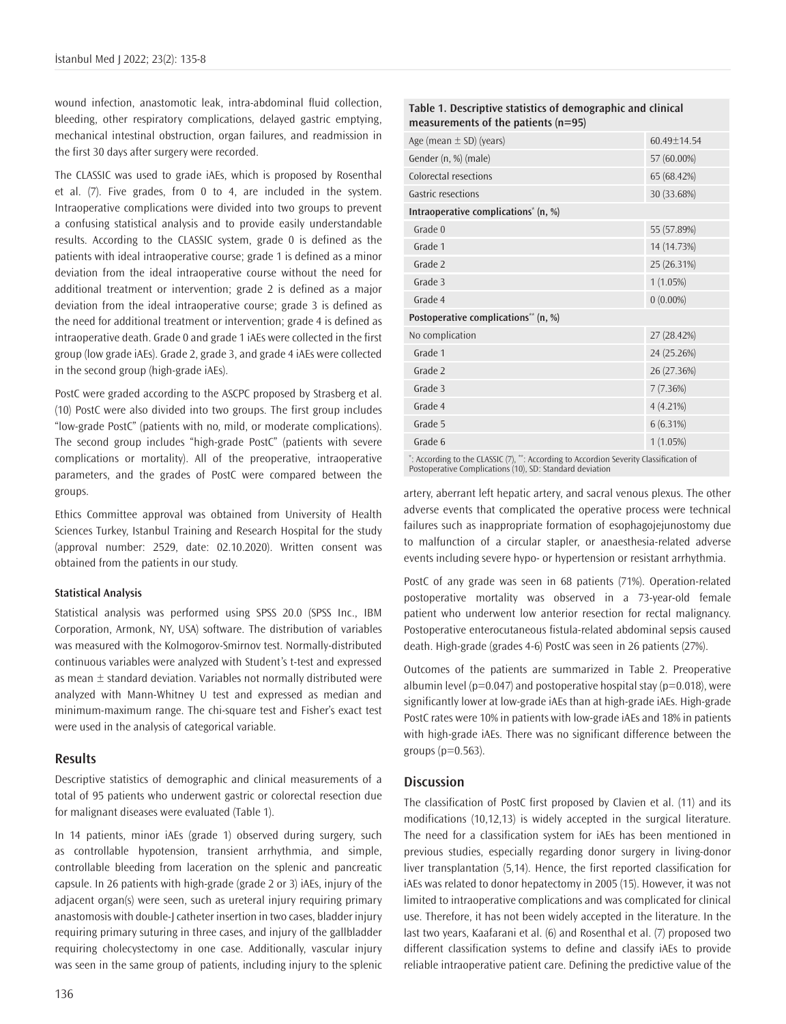wound infection, anastomotic leak, intra-abdominal fluid collection, bleeding, other respiratory complications, delayed gastric emptying, mechanical intestinal obstruction, organ failures, and readmission in the first 30 days after surgery were recorded.

The CLASSIC was used to grade iAEs, which is proposed by Rosenthal et al. (7). Five grades, from 0 to 4, are included in the system. Intraoperative complications were divided into two groups to prevent a confusing statistical analysis and to provide easily understandable results. According to the CLASSIC system, grade 0 is defined as the patients with ideal intraoperative course; grade 1 is defined as a minor deviation from the ideal intraoperative course without the need for additional treatment or intervention; grade 2 is defined as a major deviation from the ideal intraoperative course; grade 3 is defined as the need for additional treatment or intervention; grade 4 is defined as intraoperative death. Grade 0 and grade 1 iAEs were collected in the first group (low grade iAEs). Grade 2, grade 3, and grade 4 iAEs were collected in the second group (high-grade iAEs).

PostC were graded according to the ASCPC proposed by Strasberg et al. (10) PostC were also divided into two groups. The first group includes "low-grade PostC" (patients with no, mild, or moderate complications). The second group includes "high-grade PostC" (patients with severe complications or mortality). All of the preoperative, intraoperative parameters, and the grades of PostC were compared between the groups.

Ethics Committee approval was obtained from University of Health Sciences Turkey, Istanbul Training and Research Hospital for the study (approval number: 2529, date: 02.10.2020). Written consent was obtained from the patients in our study.

#### **Statistical Analysis**

Statistical analysis was performed using SPSS 20.0 (SPSS Inc., IBM Corporation, Armonk, NY, USA) software. The distribution of variables was measured with the Kolmogorov-Smirnov test. Normally-distributed continuous variables were analyzed with Student's t-test and expressed as mean  $\pm$  standard deviation. Variables not normally distributed were analyzed with Mann-Whitney U test and expressed as median and minimum-maximum range. The chi-square test and Fisher's exact test were used in the analysis of categorical variable.

#### **Results**

Descriptive statistics of demographic and clinical measurements of a total of 95 patients who underwent gastric or colorectal resection due for malignant diseases were evaluated (Table 1).

In 14 patients, minor iAEs (grade 1) observed during surgery, such as controllable hypotension, transient arrhythmia, and simple, controllable bleeding from laceration on the splenic and pancreatic capsule. In 26 patients with high-grade (grade 2 or 3) iAEs, injury of the adjacent organ(s) were seen, such as ureteral injury requiring primary anastomosis with double-J catheter insertion in two cases, bladder injury requiring primary suturing in three cases, and injury of the gallbladder requiring cholecystectomy in one case. Additionally, vascular injury was seen in the same group of patients, including injury to the splenic

| Table 1. Descriptive statistics of demographic and clinical |  |
|-------------------------------------------------------------|--|
| measurements of the patients (n=95)                         |  |

| Age (mean $\pm$ SD) (years)                                                         | 60.49±14.54 |  |  |  |  |
|-------------------------------------------------------------------------------------|-------------|--|--|--|--|
| Gender (n, %) (male)                                                                | 57 (60.00%) |  |  |  |  |
| Colorectal resections                                                               | 65 (68.42%) |  |  |  |  |
| Gastric resections                                                                  | 30 (33.68%) |  |  |  |  |
| Intraoperative complications <sup>*</sup> (n, %)                                    |             |  |  |  |  |
| Grade 0                                                                             | 55 (57.89%) |  |  |  |  |
| Grade 1                                                                             | 14 (14.73%) |  |  |  |  |
| Grade 2                                                                             | 25 (26.31%) |  |  |  |  |
| Grade 3                                                                             | 1(1.05%)    |  |  |  |  |
| Grade 4                                                                             | $0(0.00\%)$ |  |  |  |  |
| Postoperative complications** (n, %)                                                |             |  |  |  |  |
| No complication                                                                     | 27 (28.42%) |  |  |  |  |
| Grade 1                                                                             | 24 (25.26%) |  |  |  |  |
| Grade 2                                                                             | 26 (27.36%) |  |  |  |  |
| Grade 3                                                                             | 7(7.36%)    |  |  |  |  |
| Grade 4                                                                             | 4(4.21%)    |  |  |  |  |
| Grade 5                                                                             | 6(6.31%)    |  |  |  |  |
| Grade 6                                                                             | 1(1.05%)    |  |  |  |  |
| * According to the CLASSIC (7) ** According to Accordion Severity Classification of |             |  |  |  |  |

: According to the CLASSIC (7), \*\*: According to Accordion Severity Classification of Postoperative Complications (10), SD: Standard deviation

artery, aberrant left hepatic artery, and sacral venous plexus. The other adverse events that complicated the operative process were technical failures such as inappropriate formation of esophagojejunostomy due to malfunction of a circular stapler, or anaesthesia-related adverse events including severe hypo- or hypertension or resistant arrhythmia.

PostC of any grade was seen in 68 patients (71%). Operation-related postoperative mortality was observed in a 73-year-old female patient who underwent low anterior resection for rectal malignancy. Postoperative enterocutaneous fistula-related abdominal sepsis caused death. High-grade (grades 4-6) PostC was seen in 26 patients (27%).

Outcomes of the patients are summarized in Table 2. Preoperative albumin level ( $p=0.047$ ) and postoperative hospital stay ( $p=0.018$ ), were significantly lower at low-grade iAEs than at high-grade iAEs. High-grade PostC rates were 10% in patients with low-grade iAEs and 18% in patients with high-grade iAEs. There was no significant difference between the groups  $(p=0.563)$ .

#### **Discussion**

The classification of PostC first proposed by Clavien et al. (11) and its modifications (10,12,13) is widely accepted in the surgical literature. The need for a classification system for iAEs has been mentioned in previous studies, especially regarding donor surgery in living-donor liver transplantation (5,14). Hence, the first reported classification for iAEs was related to donor hepatectomy in 2005 (15). However, it was not limited to intraoperative complications and was complicated for clinical use. Therefore, it has not been widely accepted in the literature. In the last two years, Kaafarani et al. (6) and Rosenthal et al. (7) proposed two different classification systems to define and classify iAEs to provide reliable intraoperative patient care. Defining the predictive value of the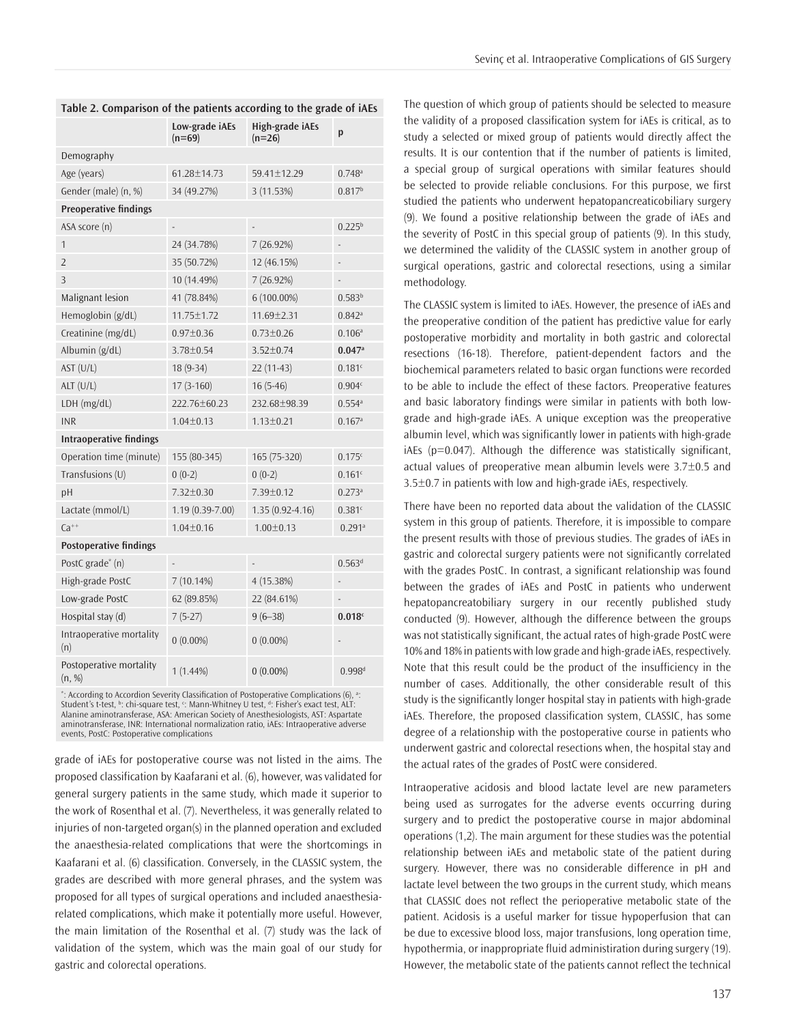|                                   | Low-grade iAEs<br>$(n=69)$ | High-grade iAEs<br>$(n=26)$ | p                    |  |  |
|-----------------------------------|----------------------------|-----------------------------|----------------------|--|--|
| Demography                        |                            |                             |                      |  |  |
| Age (years)                       | 61.28±14.73                | 59.41±12.29                 | $0.748$ <sup>a</sup> |  |  |
| Gender (male) (n, %)              | 34 (49.27%)                | 3 (11.53%)                  | 0.817 <sup>b</sup>   |  |  |
| <b>Preoperative findings</b>      |                            |                             |                      |  |  |
| ASA score (n)                     |                            |                             | $0.225^{b}$          |  |  |
| 1                                 | 24 (34.78%)                | 7 (26.92%)                  |                      |  |  |
| $\overline{2}$                    | 35 (50.72%)                | 12 (46.15%)                 |                      |  |  |
| 3                                 | 10 (14.49%)                | 7(26.92%)                   |                      |  |  |
| Malignant lesion                  | 41 (78.84%)                | $6(100.00\%)$               | $0.583^{b}$          |  |  |
| Hemoglobin (g/dL)                 | 11.75±1.72                 | $11.69 \pm 2.31$            | $0.842$ <sup>a</sup> |  |  |
| Creatinine (mg/dL)                | $0.97 \pm 0.36$            | $0.73 \pm 0.26$             | 0.106 <sup>a</sup>   |  |  |
| Albumin (g/dL)                    | $3.78 \pm 0.54$            | $3.52 \pm 0.74$             | 0.047a               |  |  |
| AST (U/L)                         | 18 (9-34)                  | 22 (11-43)                  | 0.181c               |  |  |
| ALT (U/L)                         | $17(3-160)$                | $16(5-46)$                  | 0.904c               |  |  |
| LDH (mg/dL)                       | 222.76±60.23               | 232.68±98.39                | 0.554a               |  |  |
| <b>INR</b>                        | $1.04 \pm 0.13$            | $1.13 \pm 0.21$             | 0.167a               |  |  |
| <b>Intraoperative findings</b>    |                            |                             |                      |  |  |
| Operation time (minute)           | 155 (80-345)               | 165 (75-320)                | 0.175c               |  |  |
| Transfusions (U)                  | $0(0-2)$                   | $0(0-2)$                    | 0.161c               |  |  |
| pH                                | $7.32 \pm 0.30$            | 7.39±0.12                   | $0.273$ <sup>a</sup> |  |  |
| Lactate (mmol/L)                  | 1.19 (0.39-7.00)           | $1.35(0.92 - 4.16)$         | 0.381c               |  |  |
| $Ca^{++}$                         | $1.04 \pm 0.16$            | $1.00 \pm 0.13$             | $0.291$ <sup>a</sup> |  |  |
| <b>Postoperative findings</b>     |                            |                             |                      |  |  |
| PostC grade <sup>*</sup> (n)      |                            |                             | 0.563 <sup>d</sup>   |  |  |
| High-grade PostC                  | 7 (10.14%)                 | 4 (15.38%)                  |                      |  |  |
| Low-grade PostC                   | 62 (89.85%)                | 22 (84.61%)                 |                      |  |  |
| Hospital stay (d)                 | $7(5-27)$                  | $9(6-38)$                   | 0.018c               |  |  |
| Intraoperative mortality<br>(n)   | $0(0.00\%)$                | $0(0.00\%)$                 |                      |  |  |
| Postoperative mortality<br>(n, %) | 1 (1.44%)                  | $0(0.00\%)$                 | 0.998 <sup>d</sup>   |  |  |

#### **Table 2. Comparison of the patients according to the grade of iAEs**

\*: According to Accordion Severity Classification of Postoperative Complications (6), a: Student's t-test, ʰː chi-square test, ʿː Mann-Whitney U test, ªː Fisher's exact test, ALT:<br>Alanine aminotransferase, ASA: American Society of Anesthesiologists, AST: Aspartate aminotransferase, INR: International normalization ratio, iAEs: Intraoperative adverse events, PostC: Postoperative complications

grade of iAEs for postoperative course was not listed in the aims. The proposed classification by Kaafarani et al. (6), however, was validated for general surgery patients in the same study, which made it superior to the work of Rosenthal et al. (7). Nevertheless, it was generally related to injuries of non-targeted organ(s) in the planned operation and excluded the anaesthesia-related complications that were the shortcomings in Kaafarani et al. (6) classification. Conversely, in the CLASSIC system, the grades are described with more general phrases, and the system was proposed for all types of surgical operations and included anaesthesiarelated complications, which make it potentially more useful. However, the main limitation of the Rosenthal et al. (7) study was the lack of validation of the system, which was the main goal of our study for gastric and colorectal operations.

The question of which group of patients should be selected to measure the validity of a proposed classification system for iAEs is critical, as to study a selected or mixed group of patients would directly affect the results. It is our contention that if the number of patients is limited, a special group of surgical operations with similar features should be selected to provide reliable conclusions. For this purpose, we first studied the patients who underwent hepatopancreaticobiliary surgery (9). We found a positive relationship between the grade of iAEs and the severity of PostC in this special group of patients (9). In this study, we determined the validity of the CLASSIC system in another group of surgical operations, gastric and colorectal resections, using a similar methodology.

The CLASSIC system is limited to iAEs. However, the presence of iAEs and the preoperative condition of the patient has predictive value for early postoperative morbidity and mortality in both gastric and colorectal resections (16-18). Therefore, patient-dependent factors and the biochemical parameters related to basic organ functions were recorded to be able to include the effect of these factors. Preoperative features and basic laboratory findings were similar in patients with both lowgrade and high-grade iAEs. A unique exception was the preoperative albumin level, which was significantly lower in patients with high-grade iAEs (p=0.047). Although the difference was statistically significant, actual values of preoperative mean albumin levels were 3.7±0.5 and 3.5±0.7 in patients with low and high-grade iAEs, respectively.

There have been no reported data about the validation of the CLASSIC system in this group of patients. Therefore, it is impossible to compare the present results with those of previous studies. The grades of iAEs in gastric and colorectal surgery patients were not significantly correlated with the grades PostC. In contrast, a significant relationship was found between the grades of iAEs and PostC in patients who underwent hepatopancreatobiliary surgery in our recently published study conducted (9). However, although the difference between the groups was not statistically significant, the actual rates of high-grade PostC were 10% and 18% in patients with low grade and high-grade iAEs, respectively. Note that this result could be the product of the insufficiency in the number of cases. Additionally, the other considerable result of this study is the significantly longer hospital stay in patients with high-grade iAEs. Therefore, the proposed classification system, CLASSIC, has some degree of a relationship with the postoperative course in patients who underwent gastric and colorectal resections when, the hospital stay and the actual rates of the grades of PostC were considered.

Intraoperative acidosis and blood lactate level are new parameters being used as surrogates for the adverse events occurring during surgery and to predict the postoperative course in major abdominal operations (1,2). The main argument for these studies was the potential relationship between iAEs and metabolic state of the patient during surgery. However, there was no considerable difference in pH and lactate level between the two groups in the current study, which means that CLASSIC does not reflect the perioperative metabolic state of the patient. Acidosis is a useful marker for tissue hypoperfusion that can be due to excessive blood loss, major transfusions, long operation time, hypothermia, or inappropriate fluid administiration during surgery (19). However, the metabolic state of the patients cannot reflect the technical